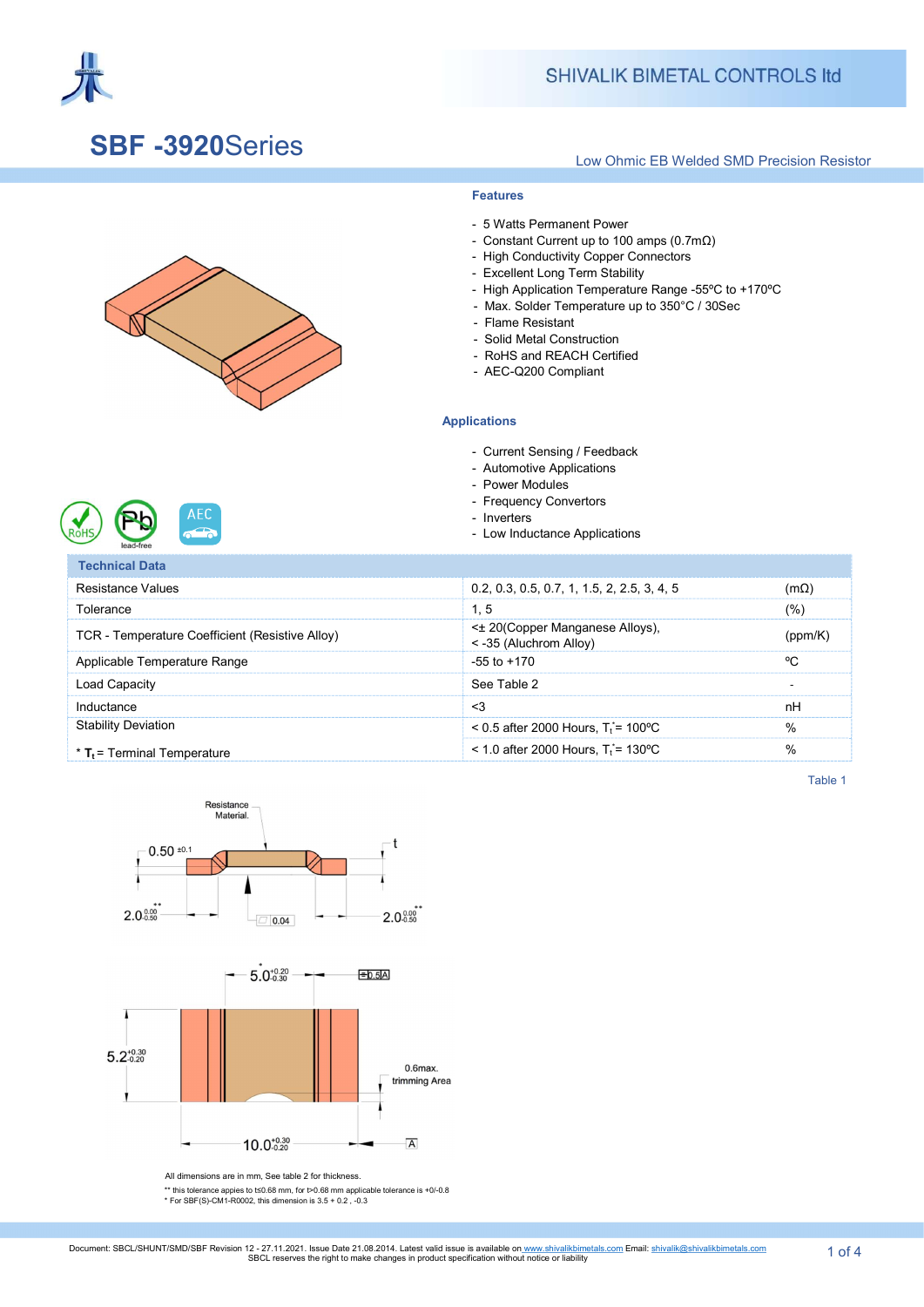

### SBF -3920Series

#### Low Ohmic EB Welded SMD Precision Resistor





**AEC** 



- 5 Watts Permanent Power

- Constant Current up to 100 amps (0.7mΩ) - High Conductivity Copper Connectors - Excellent Long Term Stability

- High Application Temperature Range -55ºC to +170ºC - Max. Solder Temperature up to 350°C / 30Sec

- Automotive Applications
- Power Modules

Applications

 - Flame Resistant - Solid Metal Construction - RoHS and REACH Certified - AEC-Q200 Compliant

Features

- Frequency Convertors
- Inverters
- Low Inductance Applications

Technical Data Resistance Values 0.2, 0.3, 0.5, 0.7, 1, 1.5, 2, 2.5, 3, 4, 5 (mΩ)  $\blacksquare$  Tolerance (%)  $\blacksquare$ TCR - Temperature Coefficient (Resistive Alloy)  $\leq 20$ (Copper Manganese Alloys), s 20 (Copper manganese Alloys),<br>
s 235 (Aluchrom Alloy) (ppm/K) Applicable Temperature Range  $\degree$ C Load Capacity And Capacity And Capacity See Table 2 - And Capacity And Capacity And Capacity And Capacity And Capacity And Capacity And Capacity And Capacity And Capacity And Capacity And Capacity And Capacity And Capacity Inductance and the contract of  $\sim$  3 and  $\sim$  1 and  $\sim$  1 and  $\sim$  1 and  $\sim$  1 and  $\sim$  1 and  $\sim$  1 and  $\sim$  1 and  $\sim$  1 and  $\sim$  1 and  $\sim$  1 and  $\sim$  1 and  $\sim$  1 and  $\sim$  1 and  $\sim$  1 and  $\sim$  1 and  $\sim$  1 and  $\sim$ **Stability Deviation**  $*$  T<sub>t</sub> = Terminal Temperature  $<$  0.5 after 2000 Hours, T<sub>t</sub><sup> $=$ </sup> 100°C  $\%$  $\leq$  1.0 after 2000 Hours, T<sub>t</sub><sup> $=$ </sup> 130°C  $\%$ 

Table 1



All dimensions are in mm, See table 2 for thickness.

\*\* this tolerance appies to t≤0.68 mm, for t>0.68 mm applicable tolerance is +0/-0.8 \* For SBF(S)-CM1-R0002, this dimension is 3.5 + 0.2 , -0.3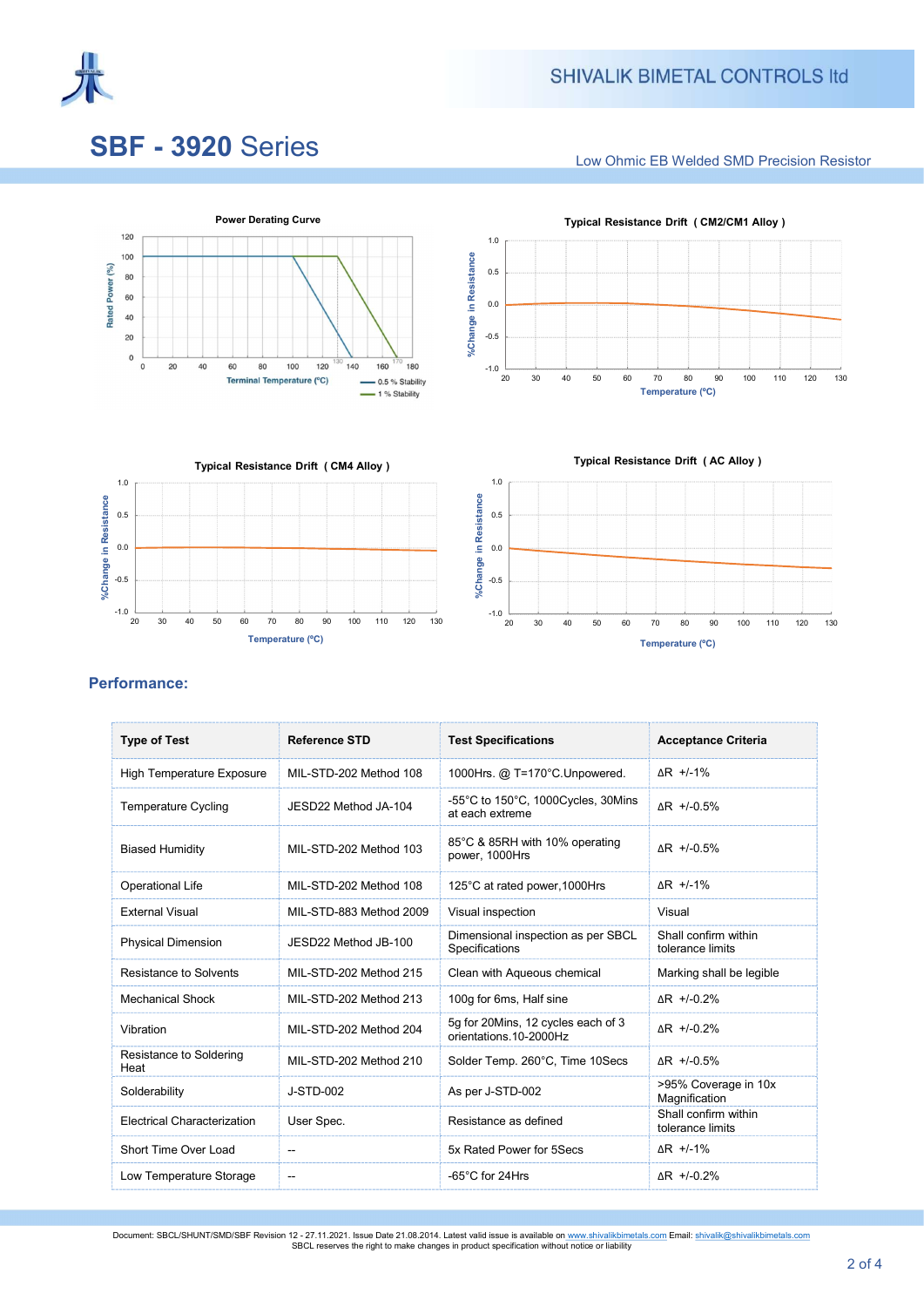

# **SBF - 3920 Series**

Low Ohmic EB Welded SMD Precision Resistor







 $-1.0$   $\frac{1}{20}$ -0.5 0.0 0.5 1.0 20 30 40 50 60 70 80 90 100 110 120 130 %Change in Resistance Typical Resistance Drift ( AC Alloy )

Temperature (ºC)

### Performance:

| <b>Type of Test</b>                | <b>Reference STD</b>    | <b>Test Specifications</b>                                   | <b>Acceptance Criteria</b>               |  |
|------------------------------------|-------------------------|--------------------------------------------------------------|------------------------------------------|--|
| <b>High Temperature Exposure</b>   | MIL-STD-202 Method 108  | 1000Hrs. @ T=170°C.Unpowered.                                | $\overline{AR}$ +/-1%                    |  |
| <b>Temperature Cycling</b>         | JESD22 Method JA-104    | -55°C to 150°C, 1000Cycles, 30Mins<br>at each extreme        | $\Delta$ R +/-0.5%                       |  |
| <b>Biased Humidity</b>             | MIL-STD-202 Method 103  | 85°C & 85RH with 10% operating<br>power, 1000Hrs             | $\Delta$ R +/-0.5%                       |  |
| <b>Operational Life</b>            | MIL-STD-202 Method 108  | 125°C at rated power, 1000Hrs                                | $\Delta$ R +/-1%                         |  |
| <b>External Visual</b>             | MIL-STD-883 Method 2009 | Visual inspection                                            | Visual                                   |  |
| <b>Physical Dimension</b>          | JESD22 Method JB-100    | Dimensional inspection as per SBCL<br>Specifications         | Shall confirm within<br>tolerance limits |  |
| Resistance to Solvents             | MII -STD-202 Method 215 | Clean with Aqueous chemical                                  | Marking shall be legible                 |  |
| <b>Mechanical Shock</b>            | MIL-STD-202 Method 213  | 100g for 6ms, Half sine                                      | $\Delta$ R +/-0.2%                       |  |
| Vibration                          | MIL-STD-202 Method 204  | 5q for 20Mins, 12 cycles each of 3<br>orientations 10-2000Hz | AR +/-0.2%                               |  |
| Resistance to Soldering<br>Heat    | MIL-STD-202 Method 210  | Solder Temp. 260°C, Time 10Secs                              | $\Delta$ R +/-0.5%                       |  |
| Solderability                      | J-STD-002               | As per J-STD-002                                             | >95% Coverage in 10x<br>Magnification    |  |
| <b>Electrical Characterization</b> | User Spec.              | Resistance as defined                                        | Shall confirm within<br>tolerance limits |  |
| Short Time Over Load               | --                      | 5x Rated Power for 5Secs                                     | $\Delta$ R +/-1%                         |  |
| Low Temperature Storage            | $-$                     | -65°C for 24Hrs                                              | AR +/-0.2%                               |  |

Document: SBCL/SHUNT/SMD/SBF Revision 12 - 27.11.2021. Issue Date 21.08.2014. Latest valid issue is available on www.shivalikbimetals.com Email: <u>shivalik@shivalikbimetals.com</u><br>SBCL reserves the right to make changes in pr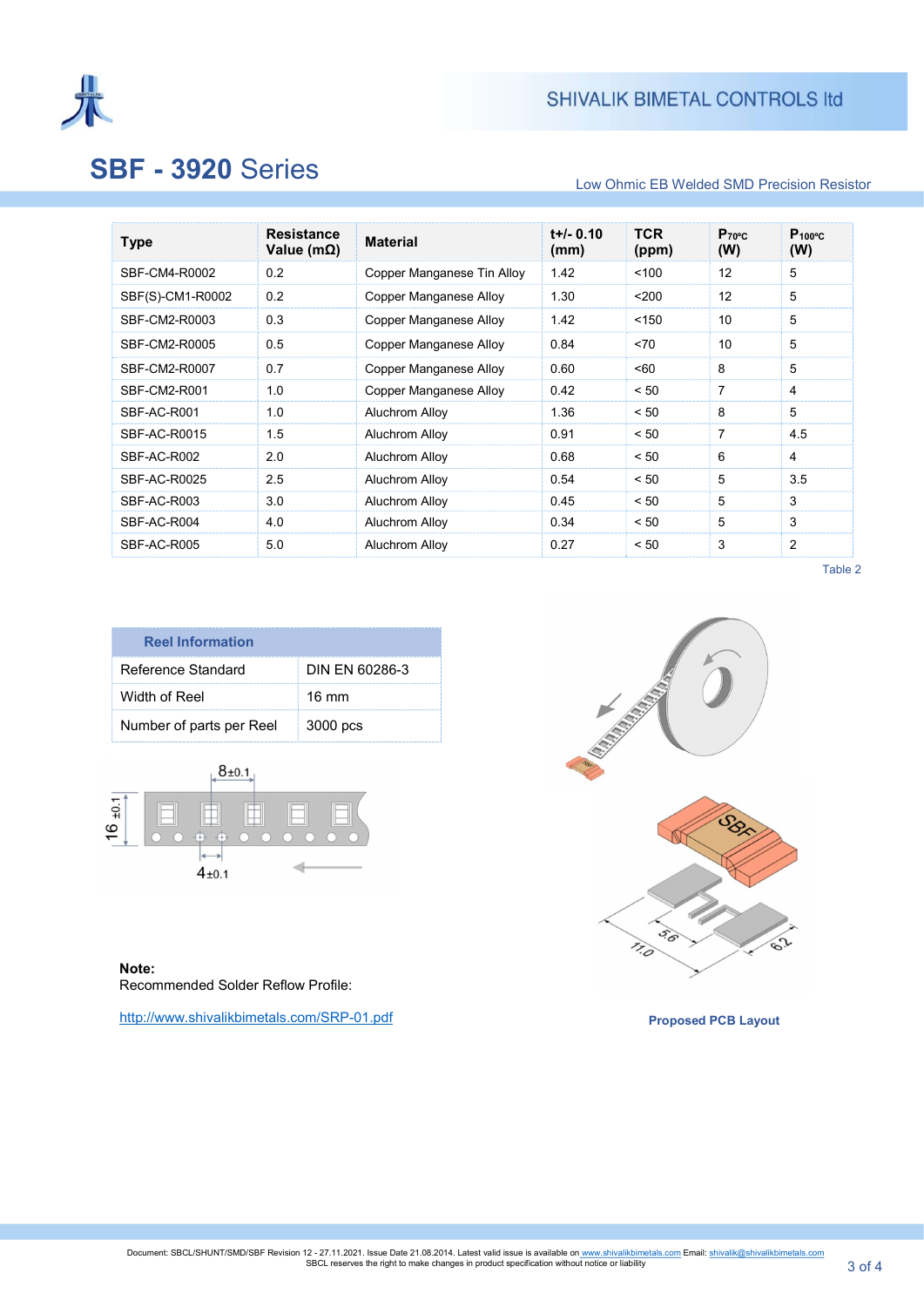

# **SBF - 3920 Series**

### Low Ohmic EB Welded SMD Precision Resistor

| <b>Type</b>      | <b>Resistance</b><br>Value (m $\Omega$ ) | <b>Material</b>            | $t+/- 0.10$<br>(mm) | <b>TCR</b><br>(ppm) | Proc<br>(W) | $P_{100^{\circ}C}$<br>(W) |
|------------------|------------------------------------------|----------------------------|---------------------|---------------------|-------------|---------------------------|
| SBF-CM4-R0002    | 0.2                                      | Copper Manganese Tin Alloy | 1.42                | 100                 | 12          | 5                         |
| SBF(S)-CM1-R0002 | 0.2                                      | Copper Manganese Alloy     | 1.30                | $200$               | 12          | 5                         |
| SBF-CM2-R0003    | 0.3                                      | Copper Manganese Alloy     | 1.42                | < 150               | 10          | 5                         |
| SBF-CM2-R0005    | 0.5                                      | Copper Manganese Alloy     | 0.84                | < 70                | 10          | 5                         |
| SBF-CM2-R0007    | 0.7                                      | Copper Manganese Alloy     | 0.60                | < 60                | 8           | 5                         |
| SBF-CM2-R001     | 1.0                                      | Copper Manganese Alloy     | 0.42                | < 50                | 7           | 4                         |
| SBF-AC-R001      | 1.0                                      | Aluchrom Alloy             | 1.36                | < 50                | 8           | 5                         |
| SBF-AC-R0015     | 1.5                                      | Aluchrom Alloy             | 0.91                | < 50                | 7           | 4.5                       |
| SBF-AC-R002      | 2.0                                      | Aluchrom Alloy             | 0.68                | < 50                | 6           | $\overline{4}$            |
| SBF-AC-R0025     | 2.5                                      | Aluchrom Alloy             | 0.54                | < 50                | 5           | 3.5                       |
| SBF-AC-R003      | 3.0                                      | Aluchrom Alloy             | 0.45                | < 50                | 5           | 3                         |
| SBF-AC-R004      | 4.0                                      | Aluchrom Alloy             | 0.34                | < 50                | 5           | 3                         |
| SBF-AC-R005      | 5.0                                      | Aluchrom Alloy             | 0.27                | < 50                | 3           | 2                         |

Table 2

| <b>Reel Information</b>  |                 |  |  |
|--------------------------|-----------------|--|--|
| Reference Standard       | DIN FN 60286-3  |  |  |
| Width of Reel            | $16 \text{ mm}$ |  |  |
| Number of parts per Reel | 3000 pcs        |  |  |



 Note: Recommended Solder Reflow Profile:

http://www.shivalikbimetals.com/SRP-01.pdf



Proposed PCB Layout